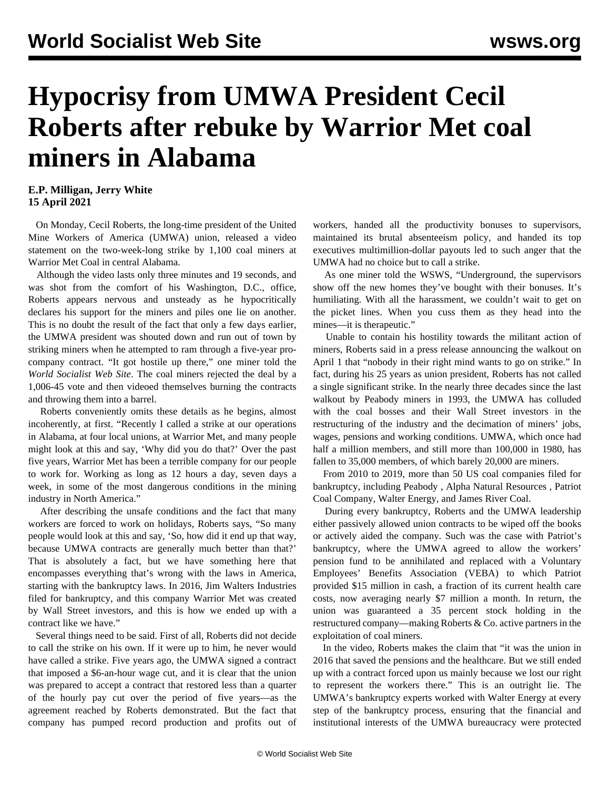## **Hypocrisy from UMWA President Cecil Roberts after rebuke by Warrior Met coal miners in Alabama**

## **E.P. Milligan, Jerry White 15 April 2021**

 On Monday, Cecil Roberts, the long-time president of the United Mine Workers of America (UMWA) union, released a video statement on the two-week-long strike by 1,100 coal miners at Warrior Met Coal in central Alabama.

 Although the video lasts only three minutes and 19 seconds, and was shot from the comfort of his Washington, D.C., office, Roberts appears nervous and unsteady as he hypocritically declares his support for the miners and piles one lie on another. This is no doubt the result of the fact that only a few days earlier, the UMWA president was shouted down and run out of town by striking miners when he attempted to ram through a five-year procompany contract. "It got hostile up there," one miner told the *World Socialist Web Site*. The coal miners rejected the deal by a 1,006-45 vote and then videoed themselves burning the contracts and throwing them into a barrel.

 Roberts conveniently omits these details as he begins, almost incoherently, at first. "Recently I called a strike at our operations in Alabama, at four local unions, at Warrior Met, and many people might look at this and say, 'Why did you do that?' Over the past five years, Warrior Met has been a terrible company for our people to work for. Working as long as 12 hours a day, seven days a week, in some of the most dangerous conditions in the mining industry in North America."

 After describing the unsafe conditions and the fact that many workers are forced to work on holidays, Roberts says, "So many people would look at this and say, 'So, how did it end up that way, because UMWA contracts are generally much better than that?' That is absolutely a fact, but we have something here that encompasses everything that's wrong with the laws in America, starting with the bankruptcy laws. In 2016, Jim Walters Industries filed for bankruptcy, and this company Warrior Met was created by Wall Street investors, and this is how we ended up with a contract like we have."

 Several things need to be said. First of all, Roberts did not decide to call the strike on his own. If it were up to him, he never would have called a strike. Five years ago, the UMWA signed a contract that imposed a \$6-an-hour wage cut, and it is clear that the union was prepared to accept a contract that restored less than a quarter of the hourly pay cut over the period of five years—as the agreement reached by Roberts demonstrated. But the fact that company has pumped record production and profits out of

workers, handed all the productivity bonuses to supervisors, maintained its brutal absenteeism policy, and handed its top executives multimillion-dollar payouts led to such anger that the UMWA had no choice but to call a strike.

 As one miner told the WSWS, "Underground, the supervisors show off the new homes they've bought with their bonuses. It's humiliating. With all the harassment, we couldn't wait to get on the picket lines. When you cuss them as they head into the mines—it is therapeutic."

 Unable to contain his hostility towards the militant action of miners, Roberts said in a press release announcing the walkout on April 1 that "nobody in their right mind wants to go on strike." In fact, during his 25 years as union president, Roberts has not called a single significant strike. In the nearly three decades since the last walkout by Peabody miners in 1993, the UMWA has colluded with the coal bosses and their Wall Street investors in the restructuring of the industry and the decimation of miners' jobs, wages, pensions and working conditions. UMWA, which once had half a million members, and still more than 100,000 in 1980, has fallen to 35,000 members, of which barely 20,000 are miners.

 From 2010 to 2019, more than 50 US coal companies filed for bankruptcy, including [Peabody](/en/articles/2016/03/22/peab-m22.html) , [Alpha Natural Resources](/en/articles/2015/08/05/coal-a05.html) , [Patriot](/en/articles/2015/09/28/patr-s28.html) [Coal Company,](/en/articles/2015/09/28/patr-s28.html) [Walter Energy](/en/articles/2016/01/11/walt-j11.html), and James River Coal.

 During every bankruptcy, Roberts and the UMWA leadership either passively allowed union contracts to be wiped off the books or actively aided the company. Such was the case with Patriot's bankruptcy, where the UMWA agreed to allow the workers' pension fund to be annihilated and replaced with a Voluntary Employees' Benefits Association (VEBA) to which Patriot provided \$15 million in cash, a fraction of its current health care costs, now averaging nearly \$7 million a month. In return, the union was guaranteed a 35 percent stock holding in the restructured company—making Roberts & Co. active partners in the exploitation of coal miners.

 In the video, Roberts makes the claim that "it was the union in 2016 that saved the pensions and the healthcare. But we still ended up with a contract forced upon us mainly because we lost our right to represent the workers there." This is an outright lie. The UMWA's bankruptcy experts worked with Walter Energy at every step of the bankruptcy process, ensuring that the financial and institutional interests of the UMWA bureaucracy were protected